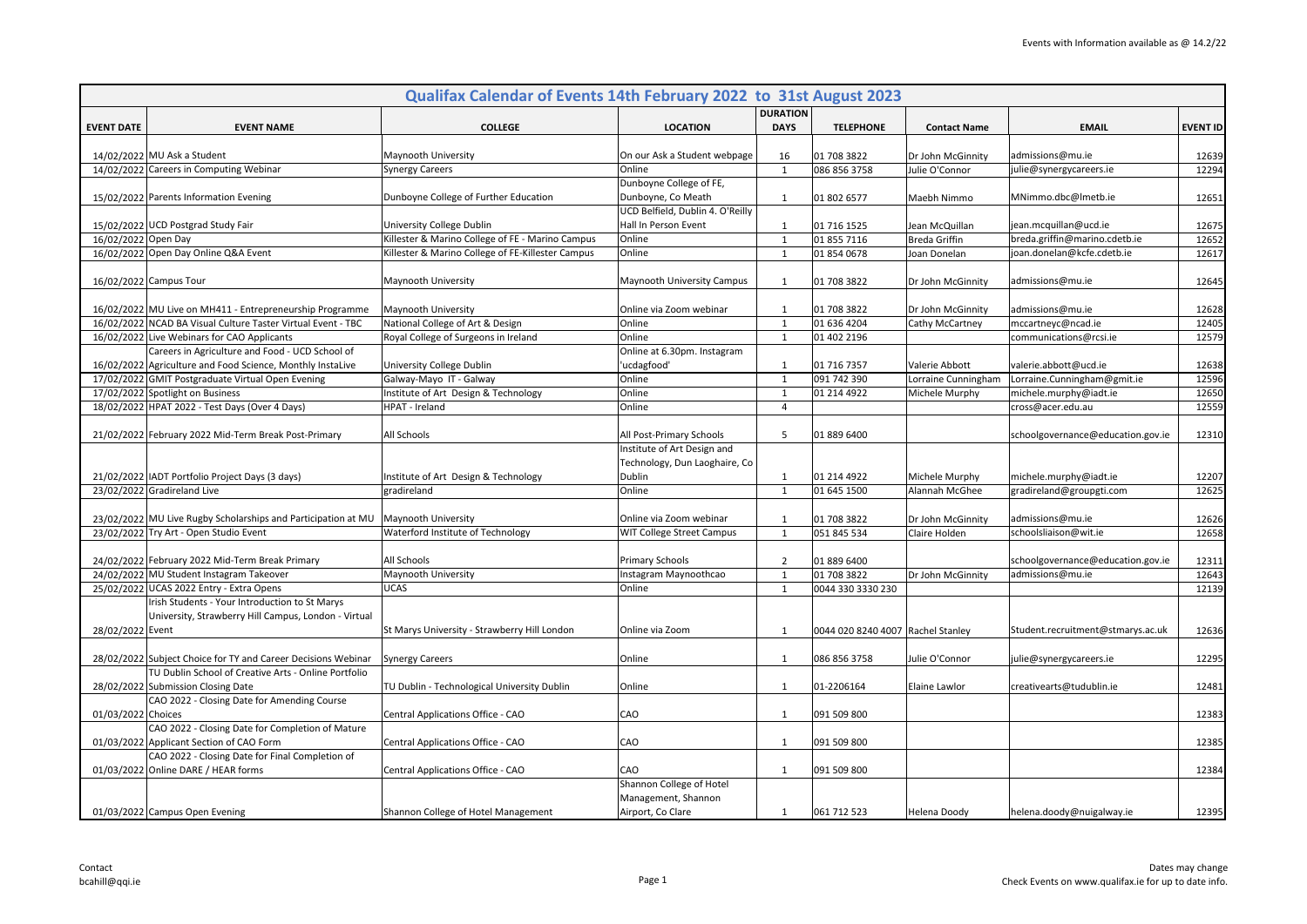|                     | Qualifax Calendar of Events 14th February 2022 to 31st August 2023                                            |                                                      |                                  |                                |                                     |                      |                                                      |                 |  |  |
|---------------------|---------------------------------------------------------------------------------------------------------------|------------------------------------------------------|----------------------------------|--------------------------------|-------------------------------------|----------------------|------------------------------------------------------|-----------------|--|--|
|                     | <b>EVENT NAME</b>                                                                                             |                                                      | <b>LOCATION</b>                  | <b>DURATION</b><br><b>DAYS</b> | <b>TELEPHONE</b>                    | <b>Contact Name</b>  | <b>EMAIL</b>                                         |                 |  |  |
| <b>EVENT DATE</b>   |                                                                                                               | <b>COLLEGE</b>                                       |                                  |                                |                                     |                      |                                                      | <b>EVENT ID</b> |  |  |
|                     | 14/02/2022 MU Ask a Student                                                                                   | Maynooth University                                  | On our Ask a Student webpage     | 16                             | 01 708 3822                         | Dr John McGinnity    | admissions@mu.ie                                     | 12639           |  |  |
|                     | 14/02/2022 Careers in Computing Webinar                                                                       | <b>Synergy Careers</b>                               | Online                           | $\mathbf{1}$                   | 086 856 3758                        | Julie O'Connor       | julie@synergycareers.ie                              | 12294           |  |  |
|                     |                                                                                                               |                                                      | Dunboyne College of FE,          |                                |                                     |                      |                                                      |                 |  |  |
|                     | 15/02/2022 Parents Information Evening                                                                        | Dunboyne College of Further Education                | Dunboyne, Co Meath               | 1                              | 01 802 6577                         | Maebh Nimmo          | MNimmo.dbc@lmetb.ie                                  | 12651           |  |  |
|                     |                                                                                                               |                                                      | UCD Belfield, Dublin 4. O'Reilly |                                |                                     |                      |                                                      |                 |  |  |
|                     | 15/02/2022 UCD Postgrad Study Fair                                                                            | University College Dublin                            | Hall In Person Event             | 1                              | 01 716 1525                         | Jean McQuillan       | jean.mcquillan@ucd.ie                                | 12675           |  |  |
| 16/02/2022 Open Day |                                                                                                               | Killester & Marino College of FE - Marino Campus     | Online                           | $\mathbf{1}$                   | 01 855 7116                         | <b>Breda Griffin</b> | breda.griffin@marino.cdetb.ie                        | 12652           |  |  |
|                     | 16/02/2022 Open Day Online Q&A Event                                                                          | Killester & Marino College of FE-Killester Campus    | Online                           | $\mathbf{1}$                   | 01 854 0678                         | Joan Donelan         | joan.donelan@kcfe.cdetb.ie                           | 12617           |  |  |
|                     |                                                                                                               |                                                      |                                  |                                |                                     |                      |                                                      |                 |  |  |
|                     | 16/02/2022 Campus Tour                                                                                        | Maynooth University                                  | Maynooth University Campus       | 1                              | 01 708 3822                         | Dr John McGinnity    | admissions@mu.ie                                     | 12645           |  |  |
|                     |                                                                                                               |                                                      |                                  |                                |                                     |                      |                                                      |                 |  |  |
|                     | 16/02/2022 MU Live on MH411 - Entrepreneurship Programme                                                      | Maynooth University                                  | Online via Zoom webinar          | 1                              | 01 708 3822                         | Dr John McGinnity    | admissions@mu.ie                                     | 12628           |  |  |
|                     | 16/02/2022 NCAD BA Visual Culture Taster Virtual Event - TBC                                                  | National College of Art & Design                     | Online                           | $\mathbf{1}$                   | 01 636 4204                         | Cathy McCartney      | mccartneyc@ncad.ie                                   | 12405           |  |  |
|                     | 16/02/2022 Live Webinars for CAO Applicants                                                                   | Royal College of Surgeons in Ireland                 | Online                           | $\mathbf{1}$                   | 01 402 2196                         |                      | communications@rcsi.ie                               | 12579           |  |  |
|                     | Careers in Agriculture and Food - UCD School of<br>16/02/2022 Agriculture and Food Science, Monthly Instalive |                                                      | Online at 6.30pm. Instagram      | 1                              | 01 716 7357                         | Valerie Abbott       |                                                      | 12638           |  |  |
|                     | 17/02/2022 GMIT Postgraduate Virtual Open Evening                                                             | University College Dublin<br>Galway-Mayo IT - Galway | 'ucdagfood'<br>Online            | <sup>1</sup>                   | 091 742 390                         | Lorraine Cunningham  | valerie.abbott@ucd.ie<br>Lorraine.Cunningham@gmit.ie | 12596           |  |  |
|                     | 17/02/2022 Spotlight on Business                                                                              | Institute of Art Design & Technology                 | Online                           | $\mathbf{1}$                   | 01 214 4922                         | Michele Murphy       | michele.murphy@iadt.ie                               | 12650           |  |  |
|                     | 18/02/2022 HPAT 2022 - Test Days (Over 4 Days)                                                                | HPAT - Ireland                                       | Online                           | $\overline{4}$                 |                                     |                      | cross@acer.edu.au                                    | 12559           |  |  |
|                     |                                                                                                               |                                                      |                                  |                                |                                     |                      |                                                      |                 |  |  |
|                     | 21/02/2022 February 2022 Mid-Term Break Post-Primary                                                          | All Schools                                          | All Post-Primary Schools         | 5                              | 01 889 6400                         |                      | schoolgovernance@education.gov.ie                    | 12310           |  |  |
|                     |                                                                                                               |                                                      | Institute of Art Design and      |                                |                                     |                      |                                                      |                 |  |  |
|                     |                                                                                                               |                                                      | Technology, Dun Laoghaire, Co    |                                |                                     |                      |                                                      |                 |  |  |
|                     | 21/02/2022   IADT Portfolio Project Days (3 days)                                                             | Institute of Art Design & Technology                 | Dublin                           | 1                              | 01 214 4922                         | Michele Murphy       | michele.murphy@iadt.ie                               | 12207           |  |  |
|                     | 23/02/2022 Gradireland Live                                                                                   | gradireland                                          | Online                           | $\mathbf{1}$                   | 01 645 1500                         | Alannah McGhee       | gradireland@groupgti.com                             | 12625           |  |  |
|                     |                                                                                                               |                                                      |                                  |                                |                                     |                      |                                                      |                 |  |  |
|                     | 23/02/2022 MU Live Rugby Scholarships and Participation at MU                                                 | Maynooth University                                  | Online via Zoom webinar          | -1                             | 01 708 3822                         | Dr John McGinnity    | admissions@mu.ie                                     | 12626           |  |  |
|                     | 23/02/2022 Try Art - Open Studio Event                                                                        | Waterford Institute of Technology                    | WIT College Street Campus        | $\mathbf{1}$                   | 051 845 534                         | Claire Holden        | schoolsliaison@wit.ie                                | 12658           |  |  |
|                     |                                                                                                               |                                                      |                                  |                                |                                     |                      |                                                      |                 |  |  |
|                     | 24/02/2022 February 2022 Mid-Term Break Primary                                                               | All Schools                                          | <b>Primary Schools</b>           | $\overline{2}$                 | 01 889 6400                         |                      | schoolgovernance@education.gov.ie                    | 12311           |  |  |
|                     | 24/02/2022 MU Student Instagram Takeover                                                                      | Maynooth University                                  | Instagram Maynoothcao            | $\mathbf{1}$                   | 01 708 3822                         | Dr John McGinnity    | admissions@mu.ie                                     | 12643           |  |  |
|                     | 25/02/2022 UCAS 2022 Entry - Extra Opens                                                                      | <b>UCAS</b>                                          | Online                           | $\mathbf{1}$                   | 0044 330 3330 230                   |                      |                                                      | 12139           |  |  |
|                     | Irish Students - Your Introduction to St Marys                                                                |                                                      |                                  |                                |                                     |                      |                                                      |                 |  |  |
|                     | University, Strawberry Hill Campus, London - Virtual                                                          |                                                      |                                  |                                |                                     |                      |                                                      |                 |  |  |
| 28/02/2022 Event    |                                                                                                               | St Marys University - Strawberry Hill London         | Online via Zoom                  | 1                              | 0044 020 8240 4007   Rachel Stanley |                      | Student.recruitment@stmarys.ac.uk                    | 12636           |  |  |
|                     | 28/02/2022 Subject Choice for TY and Career Decisions Webinar                                                 | <b>Synergy Careers</b>                               | Online                           | 1                              | 086 856 3758                        | Julie O'Connor       | julie@synergycareers.ie                              | 12295           |  |  |
|                     | TU Dublin School of Creative Arts - Online Portfolio                                                          |                                                      |                                  |                                |                                     |                      |                                                      |                 |  |  |
|                     | 28/02/2022 Submission Closing Date                                                                            | TU Dublin - Technological University Dublin          | Online                           | 1                              | 01-2206164                          | Elaine Lawlor        | creativearts@tudublin.ie                             | 12481           |  |  |
|                     | CAO 2022 - Closing Date for Amending Course                                                                   |                                                      |                                  |                                |                                     |                      |                                                      |                 |  |  |
| 01/03/2022 Choices  |                                                                                                               | Central Applications Office - CAO                    | CAO                              | 1                              | 091 509 800                         |                      |                                                      | 12383           |  |  |
|                     | CAO 2022 - Closing Date for Completion of Mature                                                              |                                                      |                                  |                                |                                     |                      |                                                      |                 |  |  |
|                     | 01/03/2022 Applicant Section of CAO Form                                                                      | Central Applications Office - CAO                    | CAO                              | $\mathbf{1}$                   | 091 509 800                         |                      |                                                      | 12385           |  |  |
|                     | CAO 2022 - Closing Date for Final Completion of                                                               |                                                      |                                  |                                |                                     |                      |                                                      |                 |  |  |
|                     | 01/03/2022 Online DARE / HEAR forms                                                                           | Central Applications Office - CAO                    | CAO                              | 1                              | 091 509 800                         |                      |                                                      | 12384           |  |  |
|                     |                                                                                                               |                                                      | Shannon College of Hotel         |                                |                                     |                      |                                                      |                 |  |  |
|                     |                                                                                                               |                                                      | Management, Shannon              |                                |                                     |                      |                                                      |                 |  |  |
|                     | 01/03/2022 Campus Open Evening                                                                                | Shannon College of Hotel Management                  | Airport, Co Clare                | $\mathbf{1}$                   | 061 712 523                         | Helena Doody         | helena.doody@nuigalway.ie                            | 12395           |  |  |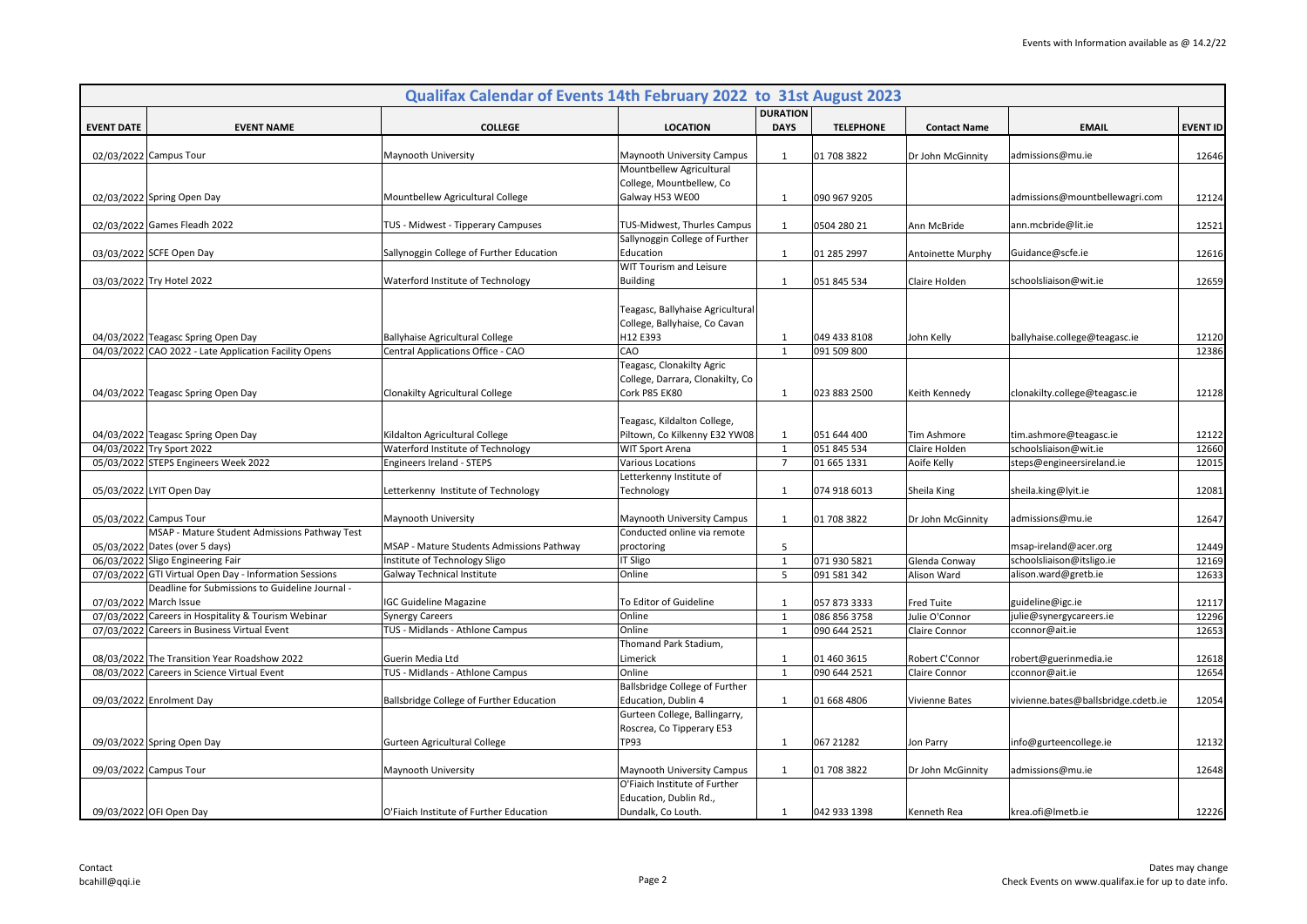|                   |                                                        | Qualifax Calendar of Events 14th February 2022 to 31st August 2023 |                                                                               |                                |                  |                       |                                     |                 |
|-------------------|--------------------------------------------------------|--------------------------------------------------------------------|-------------------------------------------------------------------------------|--------------------------------|------------------|-----------------------|-------------------------------------|-----------------|
| <b>EVENT DATE</b> | <b>EVENT NAME</b>                                      | <b>COLLEGE</b>                                                     | <b>LOCATION</b>                                                               | <b>DURATION</b><br><b>DAYS</b> | <b>TELEPHONE</b> | <b>Contact Name</b>   | <b>EMAIL</b>                        | <b>EVENT ID</b> |
|                   | 02/03/2022 Campus Tour                                 | Maynooth University                                                | Maynooth University Campus                                                    | 1                              | 01 708 3822      | Dr John McGinnity     | admissions@mu.ie                    | 12646           |
|                   |                                                        |                                                                    | Mountbellew Agricultural                                                      |                                |                  |                       |                                     |                 |
|                   |                                                        |                                                                    | College, Mountbellew, Co                                                      |                                |                  |                       |                                     |                 |
|                   | 02/03/2022 Spring Open Day                             | Mountbellew Agricultural College                                   | Galway H53 WE00                                                               | 1                              | 090 967 9205     |                       | admissions@mountbellewagri.com      | 12124           |
|                   | 02/03/2022 Games Fleadh 2022                           | TUS - Midwest - Tipperary Campuses                                 | TUS-Midwest, Thurles Campus                                                   | 1                              | 0504 280 21      | Ann McBride           | ann.mcbride@lit.ie                  | 12521           |
|                   |                                                        |                                                                    | Sallynoggin College of Further                                                |                                |                  |                       |                                     |                 |
|                   | 03/03/2022 SCFE Open Day                               | Sallynoggin College of Further Education                           | Education                                                                     | $\mathbf{1}$                   | 01 285 2997      | Antoinette Murphy     | Guidance@scfe.ie                    | 12616           |
|                   |                                                        |                                                                    | WIT Tourism and Leisure                                                       |                                |                  |                       |                                     |                 |
|                   | 03/03/2022 Try Hotel 2022                              | Waterford Institute of Technology                                  | <b>Building</b>                                                               | 1                              | 051 845 534      | Claire Holden         | schoolsliaison@wit.ie               | 12659           |
|                   | 04/03/2022 Teagasc Spring Open Day                     | <b>Ballyhaise Agricultural College</b>                             | Teagasc, Ballyhaise Agricultural<br>College, Ballyhaise, Co Cavan<br>H12 E393 | 1                              | 049 433 8108     | John Kelly            | ballyhaise.college@teagasc.ie       | 12120           |
|                   | 04/03/2022 CAO 2022 - Late Application Facility Opens  | Central Applications Office - CAO                                  | CAO                                                                           | $\mathbf{1}$                   | 091 509 800      |                       |                                     | 12386           |
|                   |                                                        |                                                                    | Teagasc, Clonakilty Agric<br>College, Darrara, Clonakilty, Co                 |                                |                  |                       |                                     |                 |
|                   | 04/03/2022 Teagasc Spring Open Day                     | Clonakilty Agricultural College                                    | Cork P85 EK80                                                                 | 1                              | 023 883 2500     | Keith Kennedy         | clonakilty.college@teagasc.ie       | 12128           |
|                   | 04/03/2022 Teagasc Spring Open Day                     | Kildalton Agricultural College                                     | Teagasc, Kildalton College,<br>Piltown, Co Kilkenny E32 YW08                  | 1                              | 051 644 400      | Tim Ashmore           | tim.ashmore@teagasc.ie              | 12122           |
|                   | 04/03/2022 Try Sport 2022                              | Waterford Institute of Technology                                  | <b>WIT Sport Arena</b>                                                        | $\mathbf{1}$                   | 051 845 534      | Claire Holden         | schoolsliaison@wit.ie               | 12660           |
|                   | 05/03/2022 STEPS Engineers Week 2022                   | Engineers Ireland - STEPS                                          | Various Locations                                                             | $\overline{7}$                 | 01 665 1331      | Aoife Kelly           | steps@engineersireland.ie           | 12015           |
|                   | 05/03/2022 LYIT Open Day                               | Letterkenny Institute of Technology                                | Letterkenny Institute of<br>Technology                                        | 1                              | 074 918 6013     | Sheila King           | sheila.king@lyit.ie                 | 12081           |
|                   | 05/03/2022 Campus Tour                                 | Maynooth University                                                | Maynooth University Campus                                                    | 1                              | 01 708 3822      | Dr John McGinnity     | admissions@mu.ie                    | 12647           |
|                   | MSAP - Mature Student Admissions Pathway Test          |                                                                    | Conducted online via remote                                                   |                                |                  |                       |                                     |                 |
|                   | 05/03/2022 Dates (over 5 days)                         | MSAP - Mature Students Admissions Pathway                          | proctoring                                                                    | 5                              |                  |                       | msap-ireland@acer.org               | 12449           |
|                   | 06/03/2022 Sligo Engineering Fair                      | Institute of Technology Sligo                                      | IT Sligo                                                                      | $\mathbf{1}$                   | 071 930 5821     | Glenda Conway         | schoolsliaison@itsligo.ie           | 12169           |
|                   | 07/03/2022 GTI Virtual Open Day - Information Sessions | Galway Technical Institute                                         | Online                                                                        | 5                              | 091 581 342      | Alison Ward           | alison.ward@gretb.ie                | 12633           |
|                   | Deadline for Submissions to Guideline Journal -        |                                                                    |                                                                               |                                |                  |                       |                                     |                 |
|                   | 07/03/2022 March Issue                                 | <b>IGC Guideline Magazine</b>                                      | To Editor of Guideline                                                        | 1                              | 057 873 3333     | <b>Fred Tuite</b>     | guideline@igc.ie                    | 12117           |
|                   | 07/03/2022 Careers in Hospitality & Tourism Webinar    | <b>Synergy Careers</b>                                             | Online                                                                        | 1                              | 086 856 3758     | Julie O'Connor        | julie@synergycareers.ie             | 12296           |
|                   | 07/03/2022 Careers in Business Virtual Event           | TUS - Midlands - Athlone Campus                                    | Online                                                                        | $\mathbf{1}$                   | 090 644 2521     | Claire Connor         | cconnor@ait.ie                      | 12653           |
|                   |                                                        |                                                                    | Thomand Park Stadium,                                                         |                                |                  |                       |                                     |                 |
|                   | 08/03/2022 The Transition Year Roadshow 2022           | Guerin Media Ltd                                                   | Limerick                                                                      | 1                              | 01 460 3615      | Robert C'Connor       | robert@guerinmedia.ie               | 12618           |
|                   | 08/03/2022 Careers in Science Virtual Event            | TUS - Midlands - Athlone Campus                                    | Online                                                                        | $\mathbf{1}$                   | 090 644 2521     | Claire Connor         | cconnor@ait.ie                      | 12654           |
|                   |                                                        |                                                                    | Ballsbridge College of Further                                                |                                |                  |                       |                                     |                 |
|                   | 09/03/2022 Enrolment Day                               | Ballsbridge College of Further Education                           | Education, Dublin 4                                                           | 1                              | 01 668 4806      | <b>Vivienne Bates</b> | vivienne.bates@ballsbridge.cdetb.ie | 12054           |
|                   |                                                        |                                                                    | Gurteen College, Ballingarry,                                                 |                                |                  |                       |                                     |                 |
|                   |                                                        |                                                                    | Roscrea, Co Tipperary E53                                                     |                                |                  |                       |                                     |                 |
|                   | 09/03/2022 Spring Open Day                             | Gurteen Agricultural College                                       | TP93                                                                          | 1                              | 067 21282        | Jon Parry             | info@gurteencollege.ie              | 12132           |
|                   | 09/03/2022 Campus Tour                                 | Maynooth University                                                | Maynooth University Campus                                                    | 1                              | 01 708 3822      | Dr John McGinnity     | admissions@mu.ie                    | 12648           |
|                   |                                                        |                                                                    | O'Fiaich Institute of Further                                                 |                                |                  |                       |                                     |                 |
|                   |                                                        |                                                                    | Education, Dublin Rd.,                                                        |                                |                  |                       |                                     |                 |
|                   | 09/03/2022 OFI Open Day                                | O'Fiaich Institute of Further Education                            | Dundalk, Co Louth.                                                            | 1                              | 042 933 1398     | Kenneth Rea           | krea.ofi@Imetb.ie                   | 12226           |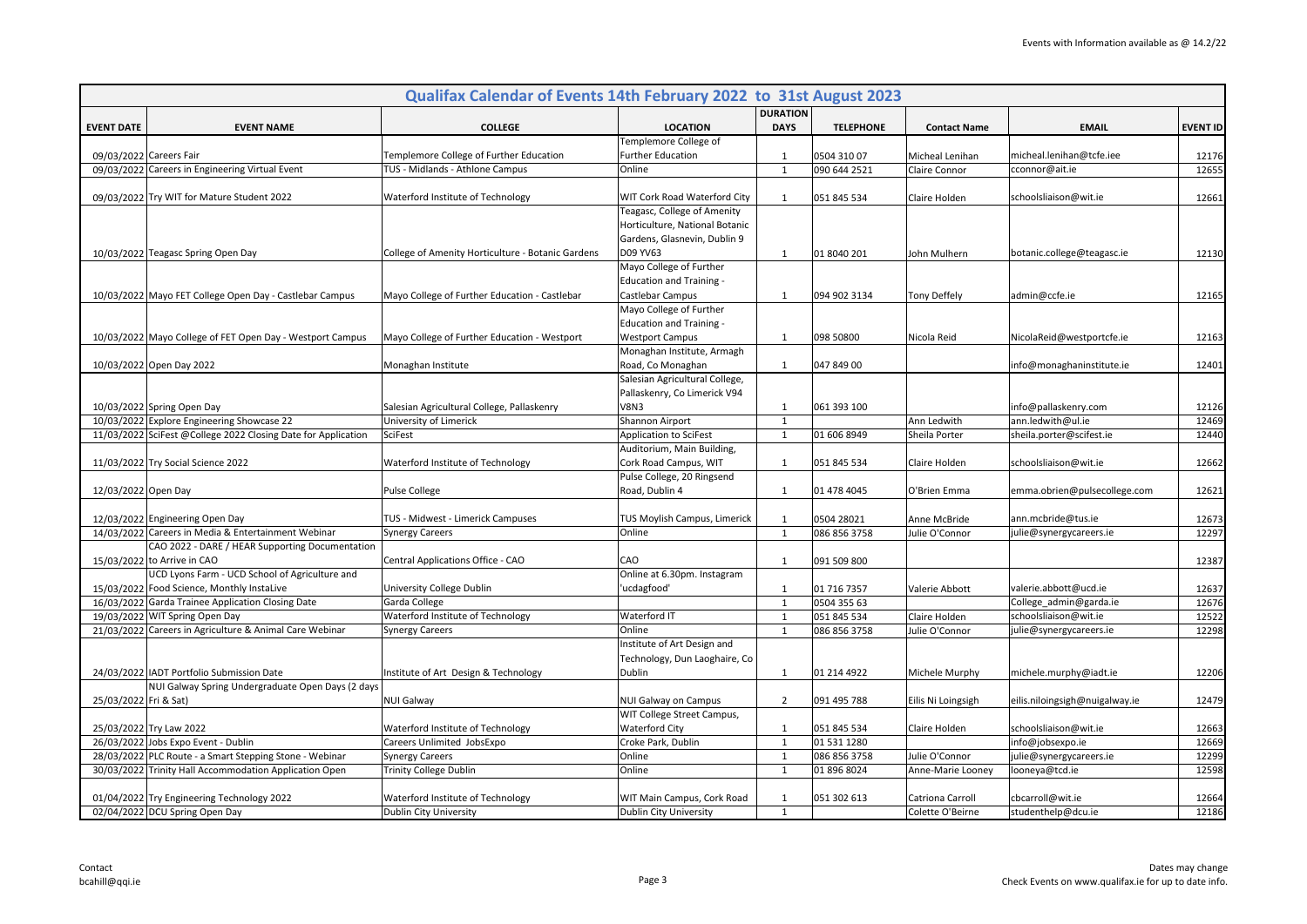| Qualifax Calendar of Events 14th February 2022 to 31st August 2023                |                                                   |                                                     |                              |                  |                     |                                |                 |  |  |
|-----------------------------------------------------------------------------------|---------------------------------------------------|-----------------------------------------------------|------------------------------|------------------|---------------------|--------------------------------|-----------------|--|--|
|                                                                                   |                                                   |                                                     | <b>DURATION</b>              |                  |                     |                                |                 |  |  |
| <b>EVENT DATE</b><br><b>EVENT NAME</b>                                            | <b>COLLEGE</b>                                    | <b>LOCATION</b><br>Templemore College of            | <b>DAYS</b>                  | <b>TELEPHONE</b> | <b>Contact Name</b> | <b>EMAIL</b>                   | <b>EVENT ID</b> |  |  |
| 09/03/2022 Careers Fair                                                           | Templemore College of Further Education           | <b>Further Education</b>                            |                              | 0504 310 07      | Micheal Lenihan     | micheal.lenihan@tcfe.iee       | 12176           |  |  |
| 09/03/2022 Careers in Engineering Virtual Event                                   | TUS - Midlands - Athlone Campus                   | Online                                              | $\mathbf{1}$<br>$\mathbf{1}$ | 090 644 2521     | Claire Connor       | cconnor@ait.ie                 | 12655           |  |  |
|                                                                                   |                                                   |                                                     |                              |                  |                     |                                |                 |  |  |
| 09/03/2022 Try WIT for Mature Student 2022                                        | Waterford Institute of Technology                 | WIT Cork Road Waterford City                        | $\mathbf{1}$                 | 051 845 534      | Claire Holden       | schoolsliaison@wit.ie          | 12661           |  |  |
|                                                                                   |                                                   | Teagasc, College of Amenity                         |                              |                  |                     |                                |                 |  |  |
|                                                                                   |                                                   | Horticulture, National Botanic                      |                              |                  |                     |                                |                 |  |  |
|                                                                                   |                                                   | Gardens, Glasnevin, Dublin 9                        |                              |                  |                     |                                |                 |  |  |
| 10/03/2022 Teagasc Spring Open Day                                                | College of Amenity Horticulture - Botanic Gardens | D09 YV63                                            | 1                            | 01 8040 201      | John Mulhern        | botanic.college@teagasc.ie     | 12130           |  |  |
|                                                                                   |                                                   | Mayo College of Further                             |                              |                  |                     |                                |                 |  |  |
|                                                                                   |                                                   | <b>Education and Training -</b>                     |                              |                  |                     |                                |                 |  |  |
| 10/03/2022 Mayo FET College Open Day - Castlebar Campus                           | Mayo College of Further Education - Castlebar     | Castlebar Campus                                    | $\mathbf{1}$                 | 094 902 3134     | Tony Deffely        | admin@ccfe.ie                  | 12165           |  |  |
|                                                                                   |                                                   | Mayo College of Further                             |                              |                  |                     |                                |                 |  |  |
|                                                                                   |                                                   | <b>Education and Training -</b>                     |                              |                  |                     |                                |                 |  |  |
| 10/03/2022 Mayo College of FET Open Day - Westport Campus                         | Mayo College of Further Education - Westport      | <b>Westport Campus</b>                              | $\mathbf{1}$                 | 098 50800        | Nicola Reid         | NicolaReid@westportcfe.ie      | 12163           |  |  |
|                                                                                   |                                                   | Monaghan Institute, Armagh                          |                              |                  |                     |                                |                 |  |  |
| 10/03/2022 Open Day 2022<br>Monaghan Institute                                    |                                                   | Road, Co Monaghan                                   | $\mathbf{1}$                 | 047 849 00       |                     | info@monaghaninstitute.ie      | 12401           |  |  |
|                                                                                   |                                                   | Salesian Agricultural College,                      |                              |                  |                     |                                |                 |  |  |
|                                                                                   |                                                   | Pallaskenry, Co Limerick V94                        |                              |                  |                     |                                |                 |  |  |
| 10/03/2022 Spring Open Day                                                        | Salesian Agricultural College, Pallaskenry        | V8N3                                                | 1                            | 061 393 100      |                     | info@pallaskenry.com           | 12126           |  |  |
| 10/03/2022 Explore Engineering Showcase 22                                        | University of Limerick                            | Shannon Airport                                     | $\mathbf{1}$                 |                  | Ann Ledwith         | ann.ledwith@ul.ie              | 12469           |  |  |
| 11/03/2022 SciFest @College 2022 Closing Date for Application<br>SciFest          |                                                   | Application to SciFest                              | $\mathbf{1}$                 | 01 606 8949      | Sheila Porter       | sheila.porter@scifest.ie       | 12440           |  |  |
| 11/03/2022 Try Social Science 2022                                                |                                                   | Auditorium, Main Building,<br>Cork Road Campus, WIT | $\mathbf{1}$                 | 051 845 534      | Claire Holden       | schoolsliaison@wit.ie          | 12662           |  |  |
|                                                                                   | Waterford Institute of Technology                 | Pulse College, 20 Ringsend                          |                              |                  |                     |                                |                 |  |  |
| 12/03/2022 Open Day<br>Pulse College                                              |                                                   | Road, Dublin 4                                      | $\mathbf{1}$                 | 01 478 4045      | O'Brien Emma        | emma.obrien@pulsecollege.com   | 12621           |  |  |
|                                                                                   |                                                   |                                                     |                              |                  |                     |                                |                 |  |  |
| 12/03/2022 Engineering Open Day                                                   | TUS - Midwest - Limerick Campuses                 | TUS Moylish Campus, Limerick                        | 1                            | 0504 28021       | Anne McBride        | ann.mcbride@tus.ie             | 12673           |  |  |
| 14/03/2022 Careers in Media & Entertainment Webinar<br><b>Synergy Careers</b>     |                                                   | Online                                              | $\mathbf{1}$                 | 086 856 3758     | Julie O'Connor      | julie@synergycareers.ie        | 12297           |  |  |
| CAO 2022 - DARE / HEAR Supporting Documentation                                   |                                                   |                                                     |                              |                  |                     |                                |                 |  |  |
| 15/03/2022 to Arrive in CAO                                                       | Central Applications Office - CAO                 | CAO                                                 | $\mathbf{1}$                 | 091 509 800      |                     |                                | 12387           |  |  |
| UCD Lyons Farm - UCD School of Agriculture and                                    |                                                   | Online at 6.30pm. Instagram                         |                              |                  |                     |                                |                 |  |  |
| 15/03/2022 Food Science, Monthly InstaLive                                        | University College Dublin                         | ucdagfood'                                          | $\mathbf{1}$                 | 01 716 7357      | Valerie Abbott      | valerie.abbott@ucd.ie          | 12637           |  |  |
| 16/03/2022 Garda Trainee Application Closing Date<br>Garda College                |                                                   |                                                     | $\mathbf{1}$                 | 0504 355 63      |                     | College admin@garda.ie         | 12676           |  |  |
| 19/03/2022 WIT Spring Open Day                                                    | Waterford Institute of Technology                 | Waterford IT                                        | $\mathbf{1}$                 | 051 845 534      | Claire Holden       | schoolsliaison@wit.ie          | 12522           |  |  |
| 21/03/2022 Careers in Agriculture & Animal Care Webinar<br><b>Synergy Careers</b> |                                                   | Online                                              | $\mathbf{1}$                 | 086 856 3758     | Julie O'Connor      | julie@synergycareers.ie        | 12298           |  |  |
|                                                                                   |                                                   | Institute of Art Design and                         |                              |                  |                     |                                |                 |  |  |
|                                                                                   |                                                   | Technology, Dun Laoghaire, Co                       |                              |                  |                     |                                |                 |  |  |
| 24/03/2022   IADT Portfolio Submission Date                                       | Institute of Art Design & Technology              | Dublin                                              | $\mathbf{1}$                 | 01 214 4922      | Michele Murphy      | michele.murphy@iadt.ie         | 12206           |  |  |
| NUI Galway Spring Undergraduate Open Days (2 days                                 |                                                   |                                                     |                              |                  |                     |                                |                 |  |  |
| 25/03/2022 Fri & Sat)<br><b>NUI Galway</b>                                        |                                                   | NUI Galway on Campus                                | $\overline{2}$               | 091 495 788      | Eilis Ni Loingsigh  | eilis.niloingsigh@nuigalway.ie | 12479           |  |  |
| 25/03/2022 Try Law 2022                                                           | Waterford Institute of Technology                 | WIT College Street Campus,<br><b>Waterford City</b> | $\mathbf{1}$                 | 051 845 534      | Claire Holden       | schoolsliaison@wit.ie          | 12663           |  |  |
| 26/03/2022 Jobs Expo Event - Dublin                                               | Careers Unlimited JobsExpo                        | Croke Park, Dublin                                  | $\mathbf{1}$                 | 01 531 1280      |                     | info@jobsexpo.ie               | 12669           |  |  |
| 28/03/2022 PLC Route - a Smart Stepping Stone - Webinar<br><b>Synergy Careers</b> |                                                   | Online                                              | $\mathbf{1}$                 | 086 856 3758     | Julie O'Connor      | julie@synergycareers.ie        | 12299           |  |  |
| 30/03/2022 Trinity Hall Accommodation Application Open                            | <b>Trinity College Dublin</b>                     | Online                                              | $\mathbf{1}$                 | 01 896 8024      | Anne-Marie Looney   | looneya@tcd.ie                 | 12598           |  |  |
|                                                                                   |                                                   |                                                     |                              |                  |                     |                                |                 |  |  |
| 01/04/2022 Try Engineering Technology 2022                                        | Waterford Institute of Technology                 | WIT Main Campus, Cork Road                          | $\mathbf{1}$                 | 051 302 613      | Catriona Carroll    | cbcarroll@wit.ie               | 12664           |  |  |
| 02/04/2022 DCU Spring Open Day                                                    | Dublin City University                            | Dublin City University                              | 1                            |                  | Colette O'Beirne    | studenthelp@dcu.ie             | 12186           |  |  |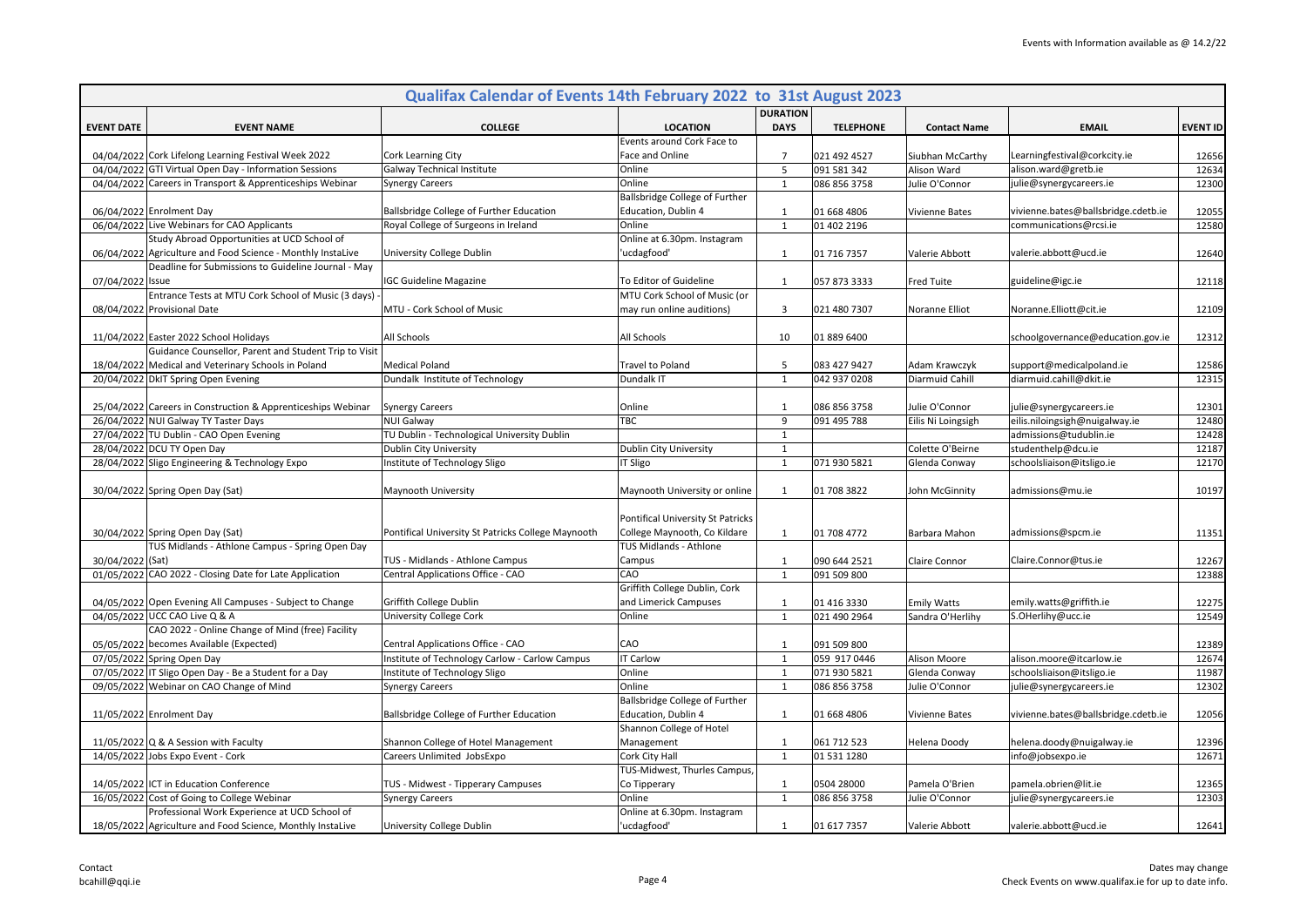|                   |                                                                                                                | Qualifax Calendar of Events 14th February 2022 to 31st August 2023 |                                                              |                     |                             |                               |                                                      |                 |
|-------------------|----------------------------------------------------------------------------------------------------------------|--------------------------------------------------------------------|--------------------------------------------------------------|---------------------|-----------------------------|-------------------------------|------------------------------------------------------|-----------------|
|                   |                                                                                                                |                                                                    |                                                              | <b>DURATION</b>     |                             |                               |                                                      |                 |
| <b>EVENT DATE</b> | <b>EVENT NAME</b>                                                                                              | <b>COLLEGE</b>                                                     | <b>LOCATION</b>                                              | <b>DAYS</b>         | <b>TELEPHONE</b>            | <b>Contact Name</b>           | <b>EMAIL</b>                                         | <b>EVENT ID</b> |
|                   |                                                                                                                |                                                                    | Events around Cork Face to                                   |                     |                             |                               |                                                      |                 |
|                   | 04/04/2022 Cork Lifelong Learning Festival Week 2022<br>04/04/2022 GTI Virtual Open Day - Information Sessions | Cork Learning City<br>Galway Technical Institute                   | Face and Online<br>Online                                    | $\overline{7}$<br>5 | 021 492 4527                | Siubhan McCarthy              | Learningfestival@corkcity.ie<br>alison.ward@gretb.ie | 12656           |
|                   | 04/04/2022 Careers in Transport & Apprenticeships Webinar                                                      | <b>Synergy Careers</b>                                             | Online                                                       | $\mathbf{1}$        | 091 581 342<br>086 856 3758 | Alison Ward<br>Julie O'Connor | julie@synergycareers.ie                              | 12634<br>12300  |
|                   |                                                                                                                |                                                                    | Ballsbridge College of Further                               |                     |                             |                               |                                                      |                 |
|                   | 06/04/2022 Enrolment Day                                                                                       | Ballsbridge College of Further Education                           | Education, Dublin 4                                          | $\mathbf{1}$        | 01 668 4806                 | Vivienne Bates                | vivienne.bates@ballsbridge.cdetb.ie                  | 12055           |
|                   | 06/04/2022 Live Webinars for CAO Applicants                                                                    | Royal College of Surgeons in Ireland                               | Online                                                       | $\mathbf{1}$        | 01 402 2196                 |                               | communications@rcsi.ie                               | 12580           |
|                   | Study Abroad Opportunities at UCD School of                                                                    |                                                                    | Online at 6.30pm. Instagram                                  |                     |                             |                               |                                                      |                 |
|                   | 06/04/2022 Agriculture and Food Science - Monthly InstaLive                                                    | University College Dublin                                          | ucdagfood'                                                   | 1                   | 01 716 7357                 | Valerie Abbott                | valerie.abbott@ucd.ie                                | 12640           |
|                   | Deadline for Submissions to Guideline Journal - May                                                            |                                                                    |                                                              |                     |                             |                               |                                                      |                 |
| 07/04/2022        | Issue                                                                                                          | <b>IGC Guideline Magazine</b>                                      | To Editor of Guideline                                       | 1                   | 057 873 3333                | <b>Fred Tuite</b>             | guideline@igc.ie                                     | 12118           |
|                   | Entrance Tests at MTU Cork School of Music (3 days)                                                            |                                                                    | MTU Cork School of Music (or                                 |                     |                             |                               |                                                      |                 |
|                   | 08/04/2022 Provisional Date                                                                                    | MTU - Cork School of Music                                         | may run online auditions)                                    | 3                   | 021 480 7307                | Noranne Elliot                | Noranne.Elliott@cit.ie                               | 12109           |
|                   |                                                                                                                |                                                                    |                                                              |                     |                             |                               |                                                      |                 |
|                   | 11/04/2022 Easter 2022 School Holidays                                                                         | All Schools                                                        | All Schools                                                  | 10                  | 01 889 6400                 |                               | schoolgovernance@education.gov.ie                    | 12312           |
|                   | Guidance Counsellor, Parent and Student Trip to Visit                                                          |                                                                    |                                                              |                     |                             |                               |                                                      |                 |
|                   | 18/04/2022 Medical and Veterinary Schools in Poland                                                            | <b>Medical Poland</b>                                              | Travel to Poland                                             | 5                   | 083 427 9427                | Adam Krawczyk                 | support@medicalpoland.ie                             | 12586           |
|                   | 20/04/2022 DkIT Spring Open Evening                                                                            | Dundalk Institute of Technology                                    | Dundalk IT                                                   | $\mathbf{1}$        | 042 937 0208                | Diarmuid Cahill               | diarmuid.cahill@dkit.ie                              | 12315           |
|                   |                                                                                                                |                                                                    |                                                              |                     |                             |                               |                                                      |                 |
|                   | 25/04/2022 Careers in Construction & Apprenticeships Webinar                                                   | <b>Synergy Careers</b>                                             | Online                                                       | $\mathbf{1}$        | 086 856 3758                | Julie O'Connor                | julie@synergycareers.ie                              | 12301           |
|                   | 26/04/2022 NUI Galway TY Taster Days                                                                           | <b>NUI Galway</b>                                                  | <b>TBC</b>                                                   | 9                   | 091 495 788                 | Eilis Ni Loingsigh            | eilis.niloingsigh@nuigalway.ie                       | 12480           |
|                   | 27/04/2022 TU Dublin - CAO Open Evening                                                                        | TU Dublin - Technological University Dublin                        |                                                              | $\mathbf{1}$        |                             |                               | admissions@tudublin.ie                               | 12428           |
|                   | 28/04/2022 DCU TY Open Day                                                                                     | Dublin City University                                             | Dublin City University                                       | $\mathbf 1$         |                             | Colette O'Beirne              | studenthelp@dcu.ie                                   | 12187           |
|                   | 28/04/2022 Sligo Engineering & Technology Expo                                                                 | Institute of Technology Sligo                                      | <b>IT Sligo</b>                                              | $\mathbf{1}$        | 071 930 5821                | Glenda Conway                 | schoolsliaison@itsligo.ie                            | 12170           |
|                   |                                                                                                                |                                                                    |                                                              |                     |                             |                               |                                                      |                 |
|                   | 30/04/2022 Spring Open Day (Sat)                                                                               | Maynooth University                                                | Maynooth University or online                                | 1                   | 01 708 3822                 | John McGinnity                | admissions@mu.ie                                     | 10197           |
|                   |                                                                                                                |                                                                    |                                                              |                     |                             |                               |                                                      |                 |
|                   |                                                                                                                |                                                                    | Pontifical University St Patricks                            |                     |                             |                               |                                                      |                 |
|                   | 30/04/2022 Spring Open Day (Sat)                                                                               | Pontifical University St Patricks College Maynooth                 | College Maynooth, Co Kildare                                 | $\mathbf{1}$        | 01 708 4772                 | Barbara Mahon                 | admissions@spcm.ie                                   | 11351           |
|                   | TUS Midlands - Athlone Campus - Spring Open Day                                                                |                                                                    | TUS Midlands - Athlone                                       |                     |                             |                               |                                                      |                 |
| 30/04/2022 (Sat)  |                                                                                                                | TUS - Midlands - Athlone Campus                                    | Campus                                                       | 1                   | 090 644 2521                | Claire Connor                 | Claire.Connor@tus.ie                                 | 12267           |
|                   | 01/05/2022 CAO 2022 - Closing Date for Late Application                                                        | Central Applications Office - CAO                                  | CAO                                                          | $\mathbf{1}$        | 091 509 800                 |                               |                                                      | 12388           |
|                   |                                                                                                                |                                                                    | Griffith College Dublin, Cork                                |                     |                             |                               |                                                      |                 |
|                   | 04/05/2022 Open Evening All Campuses - Subject to Change                                                       | Griffith College Dublin                                            | and Limerick Campuses                                        | 1                   | 01 416 3330                 | <b>Emily Watts</b>            | emily.watts@griffith.ie                              | 12275           |
|                   | 04/05/2022 UCC CAO Live Q & A                                                                                  | University College Cork                                            | Online                                                       | $\mathbf{1}$        | 021 490 2964                | Sandra O'Herlihy              | S.OHerlihy@ucc.ie                                    | 12549           |
|                   | CAO 2022 - Online Change of Mind (free) Facility                                                               |                                                                    |                                                              |                     |                             |                               |                                                      |                 |
|                   | 05/05/2022 becomes Available (Expected)                                                                        | Central Applications Office - CAO                                  | CAO                                                          | $\mathbf{1}$        | 091 509 800                 |                               |                                                      | 12389           |
|                   | 07/05/2022 Spring Open Day                                                                                     | Institute of Technology Carlow - Carlow Campus                     | <b>IT Carlow</b>                                             | $\mathbf{1}$        | 059 917 0446                | Alison Moore                  | alison.moore@itcarlow.ie                             | 12674           |
|                   | 07/05/2022 IT Sligo Open Day - Be a Student for a Day                                                          | Institute of Technology Sligo                                      | Online                                                       | $\mathbf{1}$        | 071 930 5821                | Glenda Conway                 | schoolsliaison@itsligo.ie                            | 11987           |
|                   | 09/05/2022 Webinar on CAO Change of Mind                                                                       | <b>Synergy Careers</b>                                             | Online                                                       | 1                   | 086 856 3758                | Julie O'Connor                | julie@synergycareers.ie                              | 12302           |
|                   |                                                                                                                |                                                                    | <b>Ballsbridge College of Further</b><br>Education, Dublin 4 |                     |                             |                               |                                                      |                 |
|                   | 11/05/2022 Enrolment Day                                                                                       | Ballsbridge College of Further Education                           | Shannon College of Hotel                                     | $\mathbf{1}$        | 01 668 4806                 | Vivienne Bates                | vivienne.bates@ballsbridge.cdetb.ie                  | 12056           |
|                   | 11/05/2022 Q & A Session with Faculty                                                                          | Shannon College of Hotel Management                                | Management                                                   | 1                   | 061 712 523                 |                               | helena.doody@nuigalway.ie                            | 12396           |
|                   | 14/05/2022 Jobs Expo Event - Cork                                                                              | Careers Unlimited JobsExpo                                         | Cork City Hall                                               | $\mathbf{1}$        | 01 531 1280                 | Helena Doody                  | info@jobsexpo.ie                                     | 12671           |
|                   |                                                                                                                |                                                                    | TUS-Midwest, Thurles Campus,                                 |                     |                             |                               |                                                      |                 |
|                   | 14/05/2022 ICT in Education Conference                                                                         | TUS - Midwest - Tipperary Campuses                                 | Co Tipperary                                                 | $\mathbf{1}$        | 0504 28000                  | Pamela O'Brien                | pamela.obrien@lit.ie                                 | 12365           |
|                   | 16/05/2022 Cost of Going to College Webinar                                                                    | Synergy Careers                                                    | Online                                                       | $\mathbf{1}$        | 086 856 3758                | Julie O'Connor                | julie@synergycareers.ie                              | 12303           |
|                   | Professional Work Experience at UCD School of                                                                  |                                                                    | Online at 6.30pm. Instagram                                  |                     |                             |                               |                                                      |                 |
|                   | 18/05/2022 Agriculture and Food Science, Monthly Instalive                                                     | University College Dublin                                          | 'ucdagfood'                                                  | 1                   | 01 617 7357                 | Valerie Abbott                | valerie.abbott@ucd.ie                                | 12641           |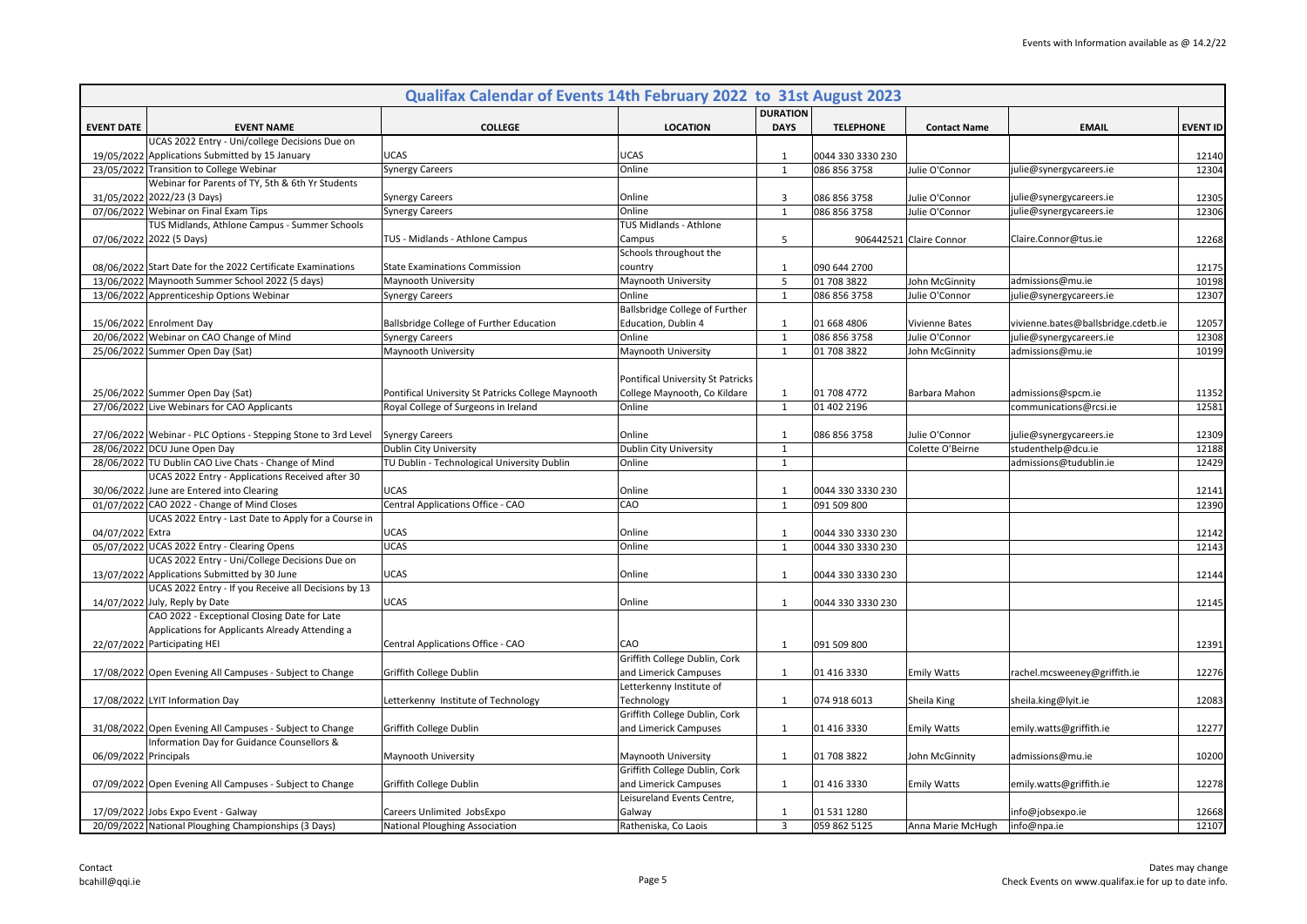|                       |                                                                                                   | Qualifax Calendar of Events 14th February 2022 to 31st August 2023 |                                   |                 |                   |                         |                                     |                 |
|-----------------------|---------------------------------------------------------------------------------------------------|--------------------------------------------------------------------|-----------------------------------|-----------------|-------------------|-------------------------|-------------------------------------|-----------------|
|                       |                                                                                                   |                                                                    |                                   | <b>DURATION</b> |                   |                         |                                     |                 |
| <b>EVENT DATE</b>     | <b>EVENT NAME</b>                                                                                 | <b>COLLEGE</b>                                                     | <b>LOCATION</b>                   | <b>DAYS</b>     | <b>TELEPHONE</b>  | <b>Contact Name</b>     | <b>EMAIL</b>                        | <b>EVENT ID</b> |
|                       | UCAS 2022 Entry - Uni/college Decisions Due on<br>19/05/2022 Applications Submitted by 15 January | UCAS                                                               | UCAS                              | 1               | 0044 330 3330 230 |                         |                                     | 12140           |
|                       | 23/05/2022 Transition to College Webinar                                                          | <b>Synergy Careers</b>                                             | Online                            | $\mathbf{1}$    | 086 856 3758      | Julie O'Connor          | julie@synergycareers.ie             | 12304           |
|                       | Webinar for Parents of TY, 5th & 6th Yr Students                                                  |                                                                    |                                   |                 |                   |                         |                                     |                 |
|                       | 31/05/2022 2022/23 (3 Days)                                                                       | <b>Synergy Careers</b>                                             | Online                            | 3               | 086 856 3758      | Julie O'Connor          | julie@synergycareers.ie             | 12305           |
|                       | 07/06/2022 Webinar on Final Exam Tips                                                             | <b>Synergy Careers</b>                                             | Online                            | $\mathbf{1}$    | 086 856 3758      | Julie O'Connor          | julie@synergycareers.ie             | 12306           |
|                       | TUS Midlands, Athlone Campus - Summer Schools                                                     |                                                                    | TUS Midlands - Athlone            |                 |                   |                         |                                     |                 |
|                       | 07/06/2022 2022 (5 Days)                                                                          | TUS - Midlands - Athlone Campus                                    | Campus                            | 5               |                   | 906442521 Claire Connor | Claire.Connor@tus.ie                | 12268           |
|                       |                                                                                                   |                                                                    | Schools throughout the            |                 |                   |                         |                                     |                 |
|                       | 08/06/2022 Start Date for the 2022 Certificate Examinations                                       | <b>State Examinations Commission</b>                               | country                           | $\mathbf{1}$    | 090 644 2700      |                         |                                     | 12175           |
|                       | 13/06/2022 Maynooth Summer School 2022 (5 days)                                                   | Maynooth University                                                | Maynooth University               | 5               | 01 708 3822       | John McGinnity          | admissions@mu.ie                    | 10198           |
|                       | 13/06/2022 Apprenticeship Options Webinar                                                         | Synergy Careers                                                    | Online                            | $\mathbf{1}$    | 086 856 3758      | Julie O'Connor          | julie@synergycareers.ie             | 12307           |
|                       |                                                                                                   |                                                                    | Ballsbridge College of Further    |                 |                   |                         |                                     |                 |
|                       | 15/06/2022 Enrolment Day                                                                          | Ballsbridge College of Further Education                           | Education, Dublin 4               | $\mathbf{1}$    | 01 668 4806       | <b>Vivienne Bates</b>   | vivienne.bates@ballsbridge.cdetb.ie | 12057           |
|                       | 20/06/2022 Webinar on CAO Change of Mind                                                          | <b>Synergy Careers</b>                                             | Online                            | $\mathbf{1}$    | 086 856 3758      | Julie O'Connor          | julie@synergycareers.ie             | 12308           |
|                       | 25/06/2022 Summer Open Day (Sat)                                                                  | Maynooth University                                                | Maynooth University               | $\mathbf{1}$    | 01 708 3822       | John McGinnity          | admissions@mu.ie                    | 10199           |
|                       |                                                                                                   |                                                                    |                                   |                 |                   |                         |                                     |                 |
|                       |                                                                                                   |                                                                    | Pontifical University St Patricks |                 |                   |                         |                                     |                 |
|                       | 25/06/2022 Summer Open Day (Sat)                                                                  | Pontifical University St Patricks College Maynooth                 | College Maynooth, Co Kildare      | $\mathbf{1}$    | 01 708 4772       | Barbara Mahon           | admissions@spcm.ie                  | 11352           |
|                       | 27/06/2022 Live Webinars for CAO Applicants                                                       | Royal College of Surgeons in Ireland                               | Online                            | $\mathbf{1}$    | 01 402 2196       |                         | communications@rcsi.ie              | 12581           |
|                       |                                                                                                   |                                                                    |                                   |                 |                   |                         |                                     |                 |
|                       | 27/06/2022 Webinar - PLC Options - Stepping Stone to 3rd Level                                    | <b>Synergy Careers</b>                                             | Online                            | 1               | 086 856 3758      | Julie O'Connor          | julie@synergycareers.ie             | 12309           |
|                       | 28/06/2022 DCU June Open Day                                                                      | Dublin City University                                             | Dublin City University            | $\mathbf{1}$    |                   | Colette O'Beirne        | studenthelp@dcu.ie                  | 12188           |
|                       | 28/06/2022 TU Dublin CAO Live Chats - Change of Mind                                              | TU Dublin - Technological University Dublin                        | Online                            | $\mathbf{1}$    |                   |                         | admissions@tudublin.ie              | 12429           |
|                       | UCAS 2022 Entry - Applications Received after 30<br>30/06/2022 June are Entered into Clearing     | <b>UCAS</b>                                                        | Online                            | $\mathbf{1}$    | 0044 330 3330 230 |                         |                                     | 12141           |
|                       | 01/07/2022 CAO 2022 - Change of Mind Closes                                                       | Central Applications Office - CAO                                  | CAO                               | $\mathbf{1}$    | 091 509 800       |                         |                                     | 12390           |
|                       | UCAS 2022 Entry - Last Date to Apply for a Course in                                              |                                                                    |                                   |                 |                   |                         |                                     |                 |
| 04/07/2022 Extra      |                                                                                                   | <b>UCAS</b>                                                        | Online                            | 1               | 0044 330 3330 230 |                         |                                     | 12142           |
|                       | 05/07/2022 UCAS 2022 Entry - Clearing Opens                                                       | <b>UCAS</b>                                                        | Online                            | $\mathbf{1}$    | 0044 330 3330 230 |                         |                                     | 12143           |
|                       | UCAS 2022 Entry - Uni/College Decisions Due on                                                    |                                                                    |                                   |                 |                   |                         |                                     |                 |
|                       | 13/07/2022 Applications Submitted by 30 June                                                      | <b>UCAS</b>                                                        | Online                            | $\mathbf{1}$    | 0044 330 3330 230 |                         |                                     | 12144           |
|                       | UCAS 2022 Entry - If you Receive all Decisions by 13                                              |                                                                    |                                   |                 |                   |                         |                                     |                 |
|                       | 14/07/2022 July, Reply by Date                                                                    | <b>UCAS</b>                                                        | Online                            | $\mathbf{1}$    | 0044 330 3330 230 |                         |                                     | 12145           |
|                       | CAO 2022 - Exceptional Closing Date for Late                                                      |                                                                    |                                   |                 |                   |                         |                                     |                 |
|                       | Applications for Applicants Already Attending a                                                   |                                                                    |                                   |                 |                   |                         |                                     |                 |
|                       | 22/07/2022 Participating HEI                                                                      | Central Applications Office - CAO                                  | CAO                               | $\mathbf{1}$    | 091 509 800       |                         |                                     | 12391           |
|                       |                                                                                                   |                                                                    | Griffith College Dublin, Cork     |                 |                   |                         |                                     |                 |
|                       | 17/08/2022 Open Evening All Campuses - Subject to Change                                          | Griffith College Dublin                                            | and Limerick Campuses             | $\mathbf{1}$    | 01 416 3330       | <b>Emily Watts</b>      | rachel.mcsweeney@griffith.ie        | 12276           |
|                       |                                                                                                   |                                                                    | Letterkenny Institute of          |                 |                   |                         |                                     |                 |
|                       | 17/08/2022 LYIT Information Day                                                                   | Letterkenny Institute of Technology                                | Technology                        | 1               | 074 918 6013      | Sheila King             | sheila.king@lyit.ie                 | 12083           |
|                       |                                                                                                   |                                                                    | Griffith College Dublin, Cork     |                 |                   |                         |                                     |                 |
|                       | 31/08/2022 Open Evening All Campuses - Subject to Change                                          | Griffith College Dublin                                            | and Limerick Campuses             | $\mathbf{1}$    | 01 416 3330       | <b>Emily Watts</b>      | emily.watts@griffith.ie             | 12277           |
|                       | Information Day for Guidance Counsellors &                                                        |                                                                    |                                   |                 |                   |                         |                                     |                 |
| 06/09/2022 Principals |                                                                                                   | Maynooth University                                                | Maynooth University               | $\mathbf{1}$    | 01 708 3822       | John McGinnity          | admissions@mu.ie                    | 10200           |
|                       |                                                                                                   |                                                                    | Griffith College Dublin, Cork     |                 |                   |                         |                                     |                 |
|                       | 07/09/2022 Open Evening All Campuses - Subject to Change                                          | Griffith College Dublin                                            | and Limerick Campuses             | $\mathbf{1}$    | 01 416 3330       | <b>Emily Watts</b>      | emily.watts@griffith.ie             | 12278           |
|                       |                                                                                                   |                                                                    | Leisureland Events Centre,        |                 |                   |                         |                                     |                 |
|                       | 17/09/2022 Jobs Expo Event - Galway                                                               | Careers Unlimited JobsExpo                                         | Galway                            | $\mathbf{1}$    | 01 531 1280       |                         | info@jobsexpo.ie                    | 12668           |
|                       | 20/09/2022 National Ploughing Championships (3 Days)                                              | <b>National Ploughing Association</b>                              | Ratheniska, Co Laois              | $\overline{3}$  | 059 862 5125      | Anna Marie McHugh       | info@npa.ie                         | 12107           |